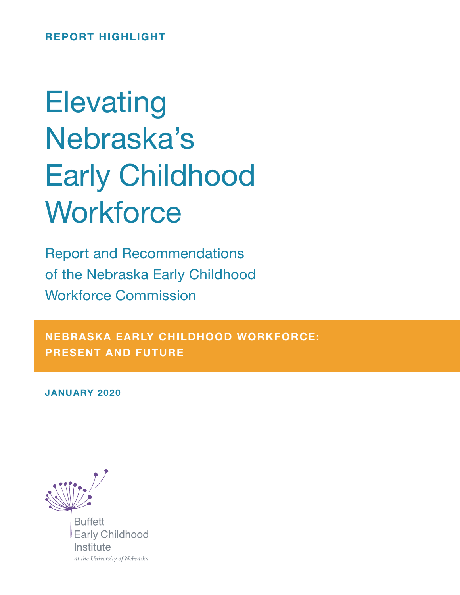REPORT HIGHLIGHT

# **Elevating** Nebraska's Early Childhood **Workforce**

Report and Recommendations of the Nebraska Early Childhood Workforce Commission

NEBRASKA EARLY CHILDHOOD WORKFORCE: PRESENT AND FUTURE

JANUARY 2020



**Buffett Early Childhood** Institute at the University of Nebraska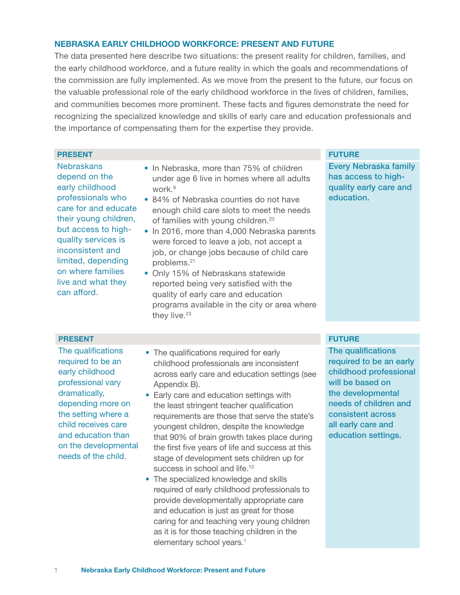### NEBRASKA EARLY CHILDHOOD WORKFORCE: PRESENT AND FUTURE

The data presented here describe two situations: the present reality for children, families, and the early childhood workforce, and a future reality in which the goals and recommendations of the commission are fully implemented. As we move from the present to the future, our focus on the valuable professional role of the early childhood workforce in the lives of children, families, and communities becomes more prominent. These facts and figures demonstrate the need for recognizing the specialized knowledge and skills of early care and education professionals and the importance of compensating them for the expertise they provide.

### **PRESENT FUTURE EXPLORER IN EXPLORER WITH A SERVICE STATE OF STATE OF STATE OF STATE OF STATE OF STATE OF STATE**

**Nebraskans** depend on the early childhood professionals who care for and educate their young children, but access to highquality services is inconsistent and limited, depending on where families live and what they can afford.

- In Nebraska, more than 75% of children under age 6 live in homes where all adults work<sup>9</sup>
- 84% of Nebraska counties do not have enough child care slots to meet the needs of families with young children.<sup>23</sup>
- In 2016, more than 4,000 Nebraska parents were forced to leave a job, not accept a job, or change jobs because of child care problems.21
- Only 15% of Nebraskans statewide reported being very satisfied with the quality of early care and education programs available in the city or area where they live.<sup>23</sup>

Every Nebraska family has access to highquality early care and education.

### **PRESENT FUTURE EXPLORATION CONTINUES.**

The qualifications required to be an early childhood professional vary dramatically, depending more on the setting where a child receives care and education than on the developmental needs of the child.

- The qualifications required for early childhood professionals are inconsistent across early care and education settings (see Appendix B).
- Early care and education settings with the least stringent teacher qualification requirements are those that serve the state's youngest children, despite the knowledge that 90% of brain growth takes place during the first five years of life and success at this stage of development sets children up for success in school and life.<sup>13</sup>
- The specialized knowledge and skills required of early childhood professionals to provide developmentally appropriate care and education is just as great for those caring for and teaching very young children as it is for those teaching children in the elementary school years.<sup>1</sup>

The qualifications required to be an early childhood professional will be based on the developmental needs of children and consistent across all early care and education settings.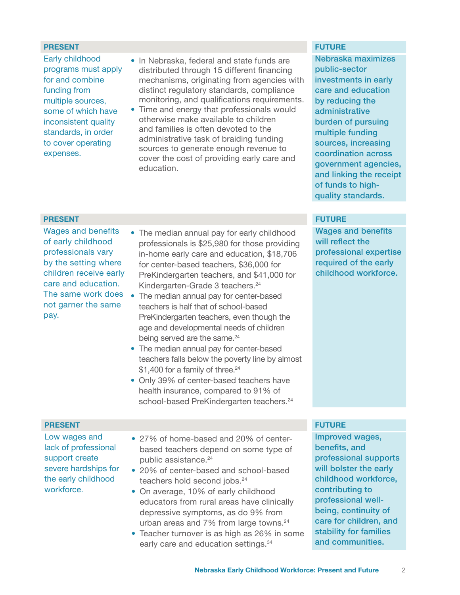### **PRESENT FUTURE EXPLORER SERVICE SERVICE SERVICE SERVICE SERVICE SERVICE SERVICE SERVICE SERVICE SERVICE SERVICE**

- Early childhood programs must apply for and combine funding from multiple sources, some of which have inconsistent quality standards, in order to cover operating expenses.
- In Nebraska, federal and state funds are distributed through 15 different financing mechanisms, originating from agencies with distinct regulatory standards, compliance monitoring, and qualifications requirements.
- Time and energy that professionals would otherwise make available to children and families is often devoted to the administrative task of braiding funding sources to generate enough revenue to cover the cost of providing early care and education.

Nebraska maximizes public-sector investments in early care and education by reducing the administrative burden of pursuing multiple funding sources, increasing coordination across government agencies, and linking the receipt of funds to highquality standards.

Wages and benefits will reflect the professional expertise required of the early childhood workforce.

### **PRESENT FUTURE EXPLORER SERVICE SERVICE SERVICE SERVICE SERVICE SERVICE SERVICE SERVICE SERVICE SERVICE SERVICE**

Wages and benefits of early childhood professionals vary by the setting where children receive early care and education. The same work does not garner the same pay.

- The median annual pay for early childhood professionals is \$25,980 for those providing in-home early care and education, \$18,706 for center-based teachers, \$36,000 for PreKindergarten teachers, and \$41,000 for Kindergarten-Grade 3 teachers.<sup>24</sup>
- The median annual pay for center-based teachers is half that of school-based PreKindergarten teachers, even though the age and developmental needs of children being served are the same.<sup>24</sup>
- The median annual pay for center-based teachers falls below the poverty line by almost \$1,400 for a family of three.<sup>24</sup>
- Only 39% of center-based teachers have health insurance, compared to 91% of school-based PreKindergarten teachers.<sup>24</sup>

### **PRESENT FUTURE EXPLORER SERVICE SERVICE SERVICE SERVICE SERVICE SERVICE SERVICE SERVICE SERVICE SERVICE SERVICE**

Low wages and lack of professional support create severe hardships for the early childhood workforce.

- 27% of home-based and 20% of centerbased teachers depend on some type of public assistance.<sup>24</sup>
- 20% of center-based and school-based teachers hold second jobs.<sup>24</sup>
- On average, 10% of early childhood educators from rural areas have clinically depressive symptoms, as do 9% from urban areas and 7% from large towns.<sup>24</sup>
- Teacher turnover is as high as 26% in some early care and education settings.<sup>34</sup>

Improved wages, benefits, and professional supports will bolster the early childhood workforce, contributing to professional wellbeing, continuity of care for children, and stability for families and communities.